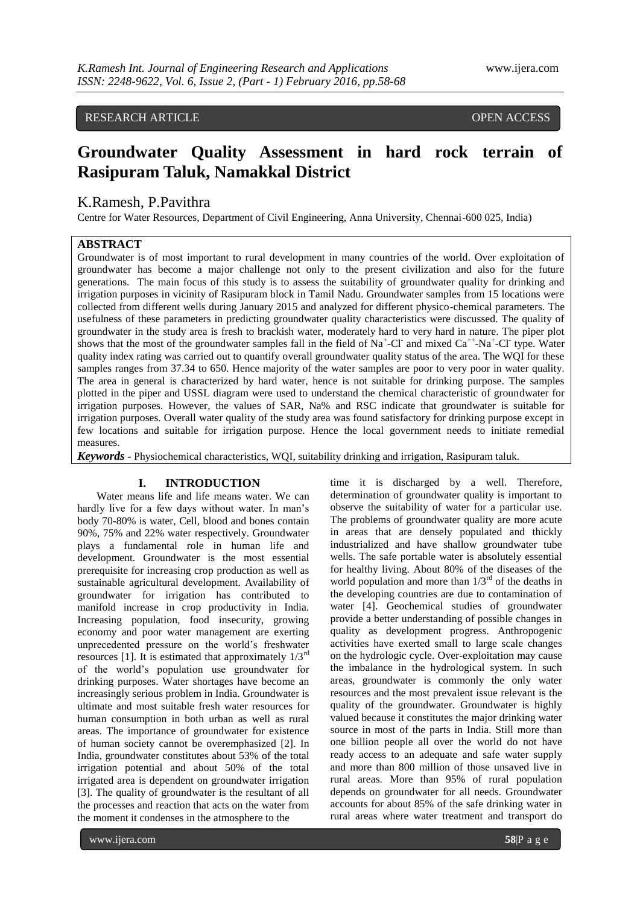# RESEARCH ARTICLE **CONSERVERS** OPEN ACCESS

# **Groundwater Quality Assessment in hard rock terrain of Rasipuram Taluk, Namakkal District**

# K.Ramesh, P.Pavithra

Centre for Water Resources, Department of Civil Engineering, Anna University, Chennai-600 025, India)

# **ABSTRACT**

Groundwater is of most important to rural development in many countries of the world. Over exploitation of groundwater has become a major challenge not only to the present civilization and also for the future generations. The main focus of this study is to assess the suitability of groundwater quality for drinking and irrigation purposes in vicinity of Rasipuram block in Tamil Nadu. Groundwater samples from 15 locations were collected from different wells during January 2015 and analyzed for different physico-chemical parameters. The usefulness of these parameters in predicting groundwater quality characteristics were discussed. The quality of groundwater in the study area is fresh to brackish water, moderately hard to very hard in nature. The piper plot shows that the most of the groundwater samples fall in the field of  $Na^+$ -Cl<sup>-</sup> and mixed  $Ca^{++}$ -Na<sup>+</sup>-Cl<sup>-</sup> type. Water quality index rating was carried out to quantify overall groundwater quality status of the area. The WQI for these samples ranges from 37.34 to 650. Hence majority of the water samples are poor to very poor in water quality. The area in general is characterized by hard water, hence is not suitable for drinking purpose. The samples plotted in the piper and USSL diagram were used to understand the chemical characteristic of groundwater for irrigation purposes. However, the values of SAR, Na% and RSC indicate that groundwater is suitable for irrigation purposes. Overall water quality of the study area was found satisfactory for drinking purpose except in few locations and suitable for irrigation purpose. Hence the local government needs to initiate remedial measures.

*Keywords* **-** Physiochemical characteristics, WQI, suitability drinking and irrigation, Rasipuram taluk.

## **I. INTRODUCTION**

Water means life and life means water. We can hardly live for a few days without water. In man's body 70-80% is water, Cell, blood and bones contain 90%, 75% and 22% water respectively. Groundwater plays a fundamental role in human life and development. Groundwater is the most essential prerequisite for increasing crop production as well as sustainable agricultural development. Availability of groundwater for irrigation has contributed to manifold increase in crop productivity in India. Increasing population, food insecurity, growing economy and poor water management are exerting unprecedented pressure on the world's freshwater resources [1]. It is estimated that approximately  $1/3^{rd}$ of the world's population use groundwater for drinking purposes. Water shortages have become an increasingly serious problem in India. Groundwater is ultimate and most suitable fresh water resources for human consumption in both urban as well as rural areas. The importance of groundwater for existence of human society cannot be overemphasized [2]. In India, groundwater constitutes about 53% of the total irrigation potential and about 50% of the total irrigated area is dependent on groundwater irrigation [3]. The quality of groundwater is the resultant of all the processes and reaction that acts on the water from the moment it condenses in the atmosphere to the

time it is discharged by a well. Therefore, determination of groundwater quality is important to observe the suitability of water for a particular use. The problems of groundwater quality are more acute in areas that are densely populated and thickly industrialized and have shallow groundwater tube wells. The safe portable water is absolutely essential for healthy living. About 80% of the diseases of the world population and more than  $1/3<sup>rd</sup>$  of the deaths in the developing countries are due to contamination of water [4]. Geochemical studies of groundwater provide a better understanding of possible changes in quality as development progress. Anthropogenic activities have exerted small to large scale changes on the hydrologic cycle. Over-exploitation may cause the imbalance in the hydrological system. In such areas, groundwater is commonly the only water resources and the most prevalent issue relevant is the quality of the groundwater. Groundwater is highly valued because it constitutes the major drinking water source in most of the parts in India. Still more than one billion people all over the world do not have ready access to an adequate and safe water supply and more than 800 million of those unsaved live in rural areas. More than 95% of rural population depends on groundwater for all needs. Groundwater accounts for about 85% of the safe drinking water in rural areas where water treatment and transport do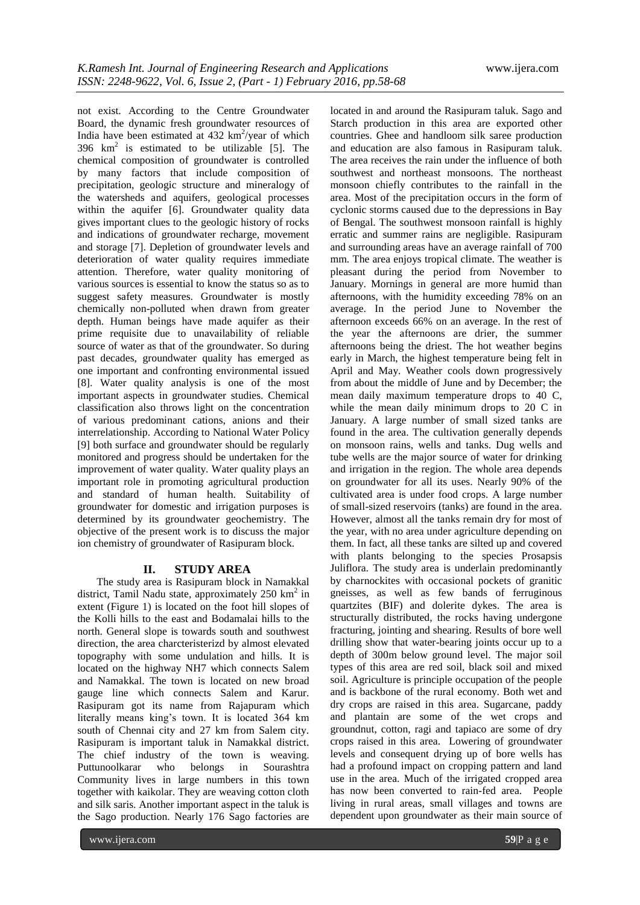not exist. According to the Centre Groundwater Board, the dynamic fresh groundwater resources of India have been estimated at  $432 \text{ km}^2/\text{year}$  of which 396  $km^2$  is estimated to be utilizable [5]. The chemical composition of groundwater is controlled by many factors that include composition of precipitation, geologic structure and mineralogy of the watersheds and aquifers, geological processes within the aquifer [6]. Groundwater quality data gives important clues to the geologic history of rocks and indications of groundwater recharge, movement and storage [7]. Depletion of groundwater levels and deterioration of water quality requires immediate attention. Therefore, water quality monitoring of various sources is essential to know the status so as to suggest safety measures. Groundwater is mostly chemically non-polluted when drawn from greater depth. Human beings have made aquifer as their prime requisite due to unavailability of reliable source of water as that of the groundwater. So during past decades, groundwater quality has emerged as one important and confronting environmental issued [8]. Water quality analysis is one of the most important aspects in groundwater studies. Chemical classification also throws light on the concentration of various predominant cations, anions and their interrelationship. According to National Water Policy [9] both surface and groundwater should be regularly monitored and progress should be undertaken for the improvement of water quality. Water quality plays an important role in promoting agricultural production and standard of human health. Suitability of groundwater for domestic and irrigation purposes is determined by its groundwater geochemistry. The objective of the present work is to discuss the major ion chemistry of groundwater of Rasipuram block.

## **II. STUDY AREA**

The study area is Rasipuram block in Namakkal district, Tamil Nadu state, approximately 250 km<sup>2</sup> in extent (Figure 1) is located on the foot hill slopes of the Kolli hills to the east and Bodamalai hills to the north. General slope is towards south and southwest direction, the area charcteristerizd by almost elevated topography with some undulation and hills. It is located on the highway NH7 which connects Salem and Namakkal. The town is located on new broad gauge line which connects Salem and Karur. Rasipuram got its name from Rajapuram which literally means king's town. It is located 364 km south of Chennai city and 27 km from Salem city. Rasipuram is important taluk in Namakkal district. The chief industry of the town is weaving. Puttunoolkarar who belongs in Sourashtra Community lives in large numbers in this town together with kaikolar. They are weaving cotton cloth and silk saris. Another important aspect in the taluk is the Sago production. Nearly 176 Sago factories are

located in and around the Rasipuram taluk. Sago and Starch production in this area are exported other countries. Ghee and handloom silk saree production and education are also famous in Rasipuram taluk. The area receives the rain under the influence of both southwest and northeast monsoons. The northeast monsoon chiefly contributes to the rainfall in the area. Most of the precipitation occurs in the form of cyclonic storms caused due to the depressions in Bay of Bengal. The southwest monsoon rainfall is highly erratic and summer rains are negligible. Rasipuram and surrounding areas have an average rainfall of 700 mm. The area enjoys tropical climate. The weather is pleasant during the period from November to January. Mornings in general are more humid than afternoons, with the humidity exceeding 78% on an average. In the period June to November the afternoon exceeds 66% on an average. In the rest of the year the afternoons are drier, the summer afternoons being the driest. The hot weather begins early in March, the highest temperature being felt in April and May. Weather cools down progressively from about the middle of June and by December; the mean daily maximum temperature drops to 40 C, while the mean daily minimum drops to 20 C in January. A large number of small sized tanks are found in the area. The cultivation generally depends on monsoon rains, wells and tanks. Dug wells and tube wells are the major source of water for drinking and irrigation in the region. The whole area depends on groundwater for all its uses. Nearly 90% of the cultivated area is under food crops. A large number of small-sized reservoirs (tanks) are found in the area. However, almost all the tanks remain dry for most of the year, with no area under agriculture depending on them. In fact, all these tanks are silted up and covered with plants belonging to the species Prosapsis Juliflora. The study area is underlain predominantly by charnockites with occasional pockets of granitic gneisses, as well as few bands of ferruginous quartzites (BIF) and dolerite dykes. The area is structurally distributed, the rocks having undergone fracturing, jointing and shearing. Results of bore well drilling show that water-bearing joints occur up to a depth of 300m below ground level. The major soil types of this area are red soil, black soil and mixed soil. Agriculture is principle occupation of the people and is backbone of the rural economy. Both wet and dry crops are raised in this area. Sugarcane, paddy and plantain are some of the wet crops and groundnut, cotton, ragi and tapiaco are some of dry crops raised in this area. Lowering of groundwater levels and consequent drying up of bore wells has had a profound impact on cropping pattern and land use in the area. Much of the irrigated cropped area has now been converted to rain-fed area. People living in rural areas, small villages and towns are dependent upon groundwater as their main source of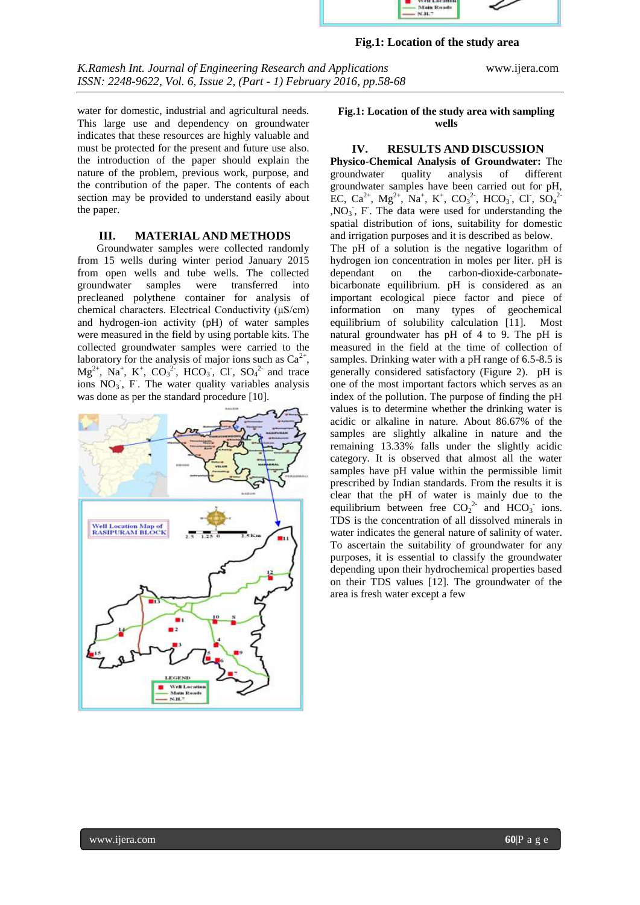

## **Fig.1: Location of the study area**

*K.Ramesh Int. Journal of Engineering Research and Applications* www.ijera.com *ISSN: 2248-9622, Vol. 6, Issue 2, (Part - 1) February 2016, pp.58-68* **with sampling wells**

water for domestic, industrial and agricultural needs. This large use and dependency on groundwater indicates that these resources are highly valuable and must be protected for the present and future use also. the introduction of the paper should explain the nature of the problem, previous work, purpose, and the contribution of the paper. The contents of each section may be provided to understand easily about the paper.

#### **III. MATERIAL AND METHODS**

Groundwater samples were collected randomly from 15 wells during winter period January 2015 from open wells and tube wells. The collected groundwater samples were transferred into precleaned polythene container for analysis of chemical characters. Electrical Conductivity (μS/cm) and hydrogen-ion activity (pH) of water samples were measured in the field by using portable kits. The collected groundwater samples were carried to the laboratory for the analysis of major ions such as  $Ca^{2+}$ ,  $Mg^{2+}$ , Na<sup>+</sup>, K<sup>+</sup>, CO<sub>3</sub><sup>2</sup>, HCO<sub>3</sub><sup>-</sup>, Cl<sup>-</sup>, SO<sub>4</sub><sup>2-</sup> and trace ions  $NO_3$ , F. The water quality variables analysis was done as per the standard procedure [10].



#### **Fig.1: Location of the study area with sampling wells**

## **IV. RESULTS AND DISCUSSION**

**Physico-Chemical Analysis of Groundwater:** The groundwater quality analysis of different groundwater samples have been carried out for pH, EC, Ca<sup>2+</sup>, Mg<sup>2+</sup>, Na<sup>+</sup>, K<sup>+</sup>, CO<sub>3</sub><sup>2</sup>, HCO<sub>3</sub><sup>-</sup>, Cl<sup>-</sup>, SO<sub>4</sub><sup>2</sup> ,NO<sup>3</sup> - , F- . The data were used for understanding the spatial distribution of ions, suitability for domestic and irrigation purposes and it is described as below. The pH of a solution is the negative logarithm of hydrogen ion concentration in moles per liter. pH is dependant on the carbon-dioxide-carbonatedependant on the carbon-dioxide-carbonatebicarbonate equilibrium. pH is considered as an important ecological piece factor and piece of information on many types of geochemical equilibrium of solubility calculation [11]. Most natural groundwater has pH of 4 to 9. The pH is measured in the field at the time of collection of samples. Drinking water with a pH range of 6.5-8.5 is generally considered satisfactory (Figure 2). pH is one of the most important factors which serves as an index of the pollution. The purpose of finding the pH values is to determine whether the drinking water is acidic or alkaline in nature. About 86.67% of the samples are slightly alkaline in nature and the remaining 13.33% falls under the slightly acidic category. It is observed that almost all the water samples have pH value within the permissible limit prescribed by Indian standards. From the results it is clear that the pH of water is mainly due to the equilibrium between free  $CO_2^{2}$  and  $HCO_3^-$  ions. TDS is the concentration of all dissolved minerals in water indicates the general nature of salinity of water. To ascertain the suitability of groundwater for any purposes, it is essential to classify the groundwater depending upon their hydrochemical properties based on their TDS values [12]. The groundwater of the area is fresh water except a few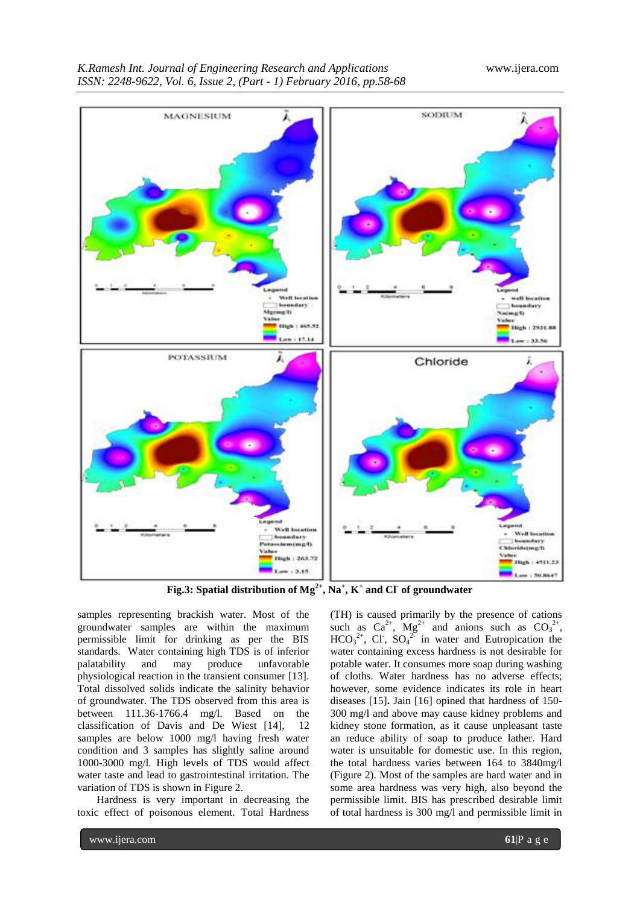

**Fig.3: Spatial distribution of Mg2+, Na<sup>+</sup> , K<sup>+</sup> and Cl-of groundwater**

samples representing brackish water. Most of the groundwater samples are within the maximum permissible limit for drinking as per the BIS standards. Water containing high TDS is of inferior palatability and may produce unfavorable physiological reaction in the transient consumer [13]. Total dissolved solids indicate the salinity behavior of groundwater. The TDS observed from this area is between 111.36-1766.4 mg/l. Based on the classification of Davis and De Wiest [14], 12 samples are below 1000 mg/l having fresh water condition and 3 samples has slightly saline around 1000-3000 mg/l. High levels of TDS would affect water taste and lead to gastrointestinal irritation. The variation of TDS is shown in Figure 2.

Hardness is very important in decreasing the toxic effect of poisonous element. Total Hardness (TH) is caused primarily by the presence of cations such as  $Ca^{2+}$ ,  $Mg^{2+}$  and anions such as  $CO_3^{2+}$ ,  $HCO_3^{2+}$ , Cl<sup>2</sup>, SO<sub>4</sub><sup>2</sup> in water and Eutropication the water containing excess hardness is not desirable for potable water. It consumes more soap during washing of cloths. Water hardness has no adverse effects; however, some evidence indicates its role in heart diseases [15]**.** Jain [16] opined that hardness of 150- 300 mg/l and above may cause kidney problems and kidney stone formation, as it cause unpleasant taste an reduce ability of soap to produce lather. Hard water is unsuitable for domestic use. In this region, the total hardness varies between 164 to 3840mg/l (Figure 2). Most of the samples are hard water and in some area hardness was very high, also beyond the permissible limit. BIS has prescribed desirable limit of total hardness is 300 mg/l and permissible limit in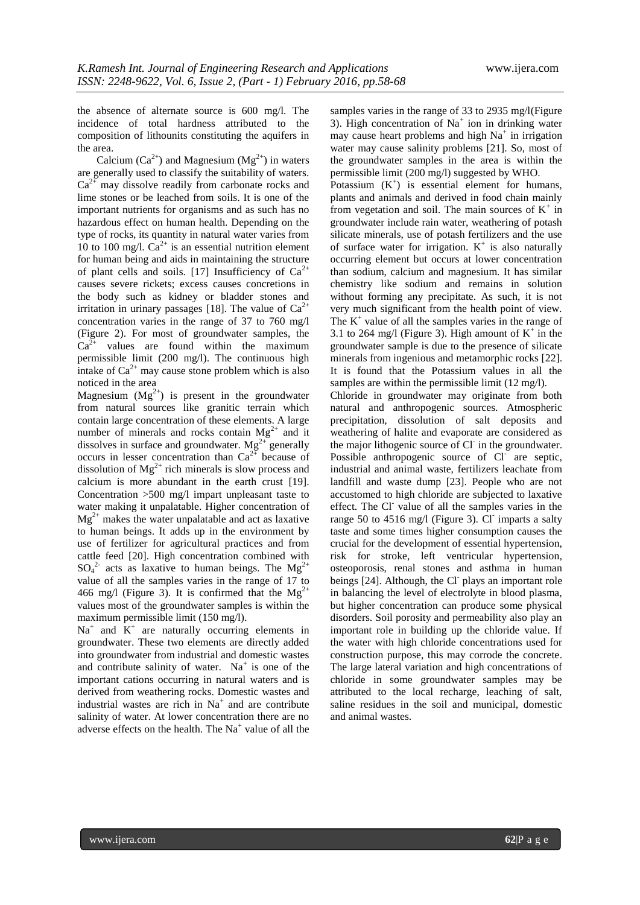the absence of alternate source is 600 mg/l. The incidence of total hardness attributed to the composition of lithounits constituting the aquifers in the area.

Calcium ( $Ca^{2+}$ ) and Magnesium ( $Mg^{2+}$ ) in waters are generally used to classify the suitability of waters.  $Ca<sup>2+</sup>$  may dissolve readily from carbonate rocks and lime stones or be leached from soils. It is one of the important nutrients for organisms and as such has no hazardous effect on human health. Depending on the type of rocks, its quantity in natural water varies from 10 to 100 mg/l.  $Ca^{2+}$  is an essential nutrition element for human being and aids in maintaining the structure of plant cells and soils. [17] Insufficiency of  $Ca^{2+}$ causes severe rickets; excess causes concretions in the body such as kidney or bladder stones and irritation in urinary passages [18]. The value of  $Ca^{2+}$ concentration varies in the range of 37 to 760 mg/l (Figure 2). For most of groundwater samples, the  $Ca^{2+}$  values are found within the maximum permissible limit (200 mg/l). The continuous high intake of  $Ca^{2+}$  may cause stone problem which is also noticed in the area

Magnesium  $(Mg^{2+})$  is present in the groundwater from natural sources like granitic terrain which contain large concentration of these elements. A large number of minerals and rocks contain  $Mg^{2+}$  and it dissolves in surface and groundwater.  $Mg^{2+}$  generally occurs in lesser concentration than  $Ca^{2+}$  because of dissolution of  $Mg^{2+}$  rich minerals is slow process and calcium is more abundant in the earth crust [19]. Concentration >500 mg/l impart unpleasant taste to water making it unpalatable. Higher concentration of  $Mg^{2+}$  makes the water unpalatable and act as laxative to human beings. It adds up in the environment by use of fertilizer for agricultural practices and from cattle feed [20]. High concentration combined with  $SO_4^2$  acts as laxative to human beings. The Mg<sup>2+</sup> value of all the samples varies in the range of 17 to 466 mg/l (Figure 3). It is confirmed that the Mg<sup>2+</sup> values most of the groundwater samples is within the maximum permissible limit (150 mg/l).

 $Na<sup>+</sup>$  and  $K<sup>+</sup>$  are naturally occurring elements in groundwater. These two elements are directly added into groundwater from industrial and domestic wastes and contribute salinity of water.  $Na<sup>+</sup>$  is one of the important cations occurring in natural waters and is derived from weathering rocks. Domestic wastes and industrial wastes are rich in  $Na<sup>+</sup>$  and are contribute salinity of water. At lower concentration there are no adverse effects on the health. The Na<sup>+</sup> value of all the samples varies in the range of 33 to 2935 mg/l(Figure 3). High concentration of  $Na<sup>+</sup>$  ion in drinking water may cause heart problems and high  $Na<sup>+</sup>$  in irrigation water may cause salinity problems [21]. So, most of the groundwater samples in the area is within the permissible limit (200 mg/l) suggested by WHO.

Potassium  $(K^+)$  is essential element for humans, plants and animals and derived in food chain mainly from vegetation and soil. The main sources of  $K^+$  in groundwater include rain water, weathering of potash silicate minerals, use of potash fertilizers and the use of surface water for irrigation.  $K^+$  is also naturally occurring element but occurs at lower concentration than sodium, calcium and magnesium. It has similar chemistry like sodium and remains in solution without forming any precipitate. As such, it is not very much significant from the health point of view. The  $K^+$  value of all the samples varies in the range of 3.1 to 264 mg/l (Figure 3). High amount of  $K^+$  in the groundwater sample is due to the presence of silicate minerals from ingenious and metamorphic rocks [22]. It is found that the Potassium values in all the samples are within the permissible limit (12 mg/l).

Chloride in groundwater may originate from both natural and anthropogenic sources. Atmospheric precipitation, dissolution of salt deposits and weathering of halite and evaporate are considered as the major lithogenic source of Cl in the groundwater. Possible anthropogenic source of Cl<sup>-</sup> are septic, industrial and animal waste, fertilizers leachate from landfill and waste dump [23]. People who are not accustomed to high chloride are subjected to laxative effect. The Cl<sup>-</sup> value of all the samples varies in the range 50 to 4516 mg/l (Figure 3). Cl imparts a salty taste and some times higher consumption causes the crucial for the development of essential hypertension, risk for stroke, left ventricular hypertension, osteoporosis, renal stones and asthma in human beings [24]. Although, the Cl plays an important role in balancing the level of electrolyte in blood plasma, but higher concentration can produce some physical disorders. Soil porosity and permeability also play an important role in building up the chloride value. If the water with high chloride concentrations used for construction purpose, this may corrode the concrete. The large lateral variation and high concentrations of chloride in some groundwater samples may be attributed to the local recharge, leaching of salt, saline residues in the soil and municipal, domestic and animal wastes.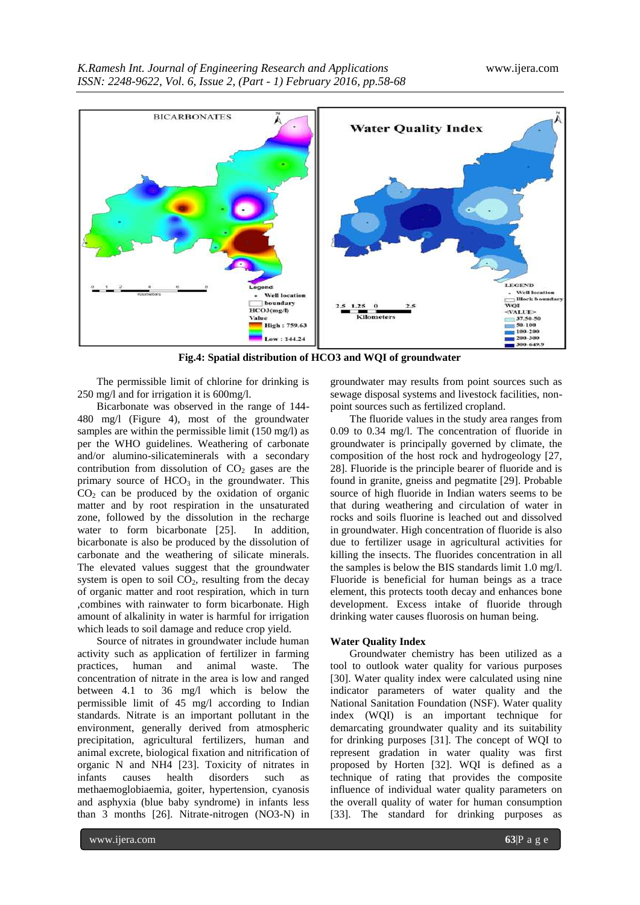

**Fig.4: Spatial distribution of HCO3 and WQI of groundwater**

The permissible limit of chlorine for drinking is 250 mg/l and for irrigation it is 600mg/l.

Bicarbonate was observed in the range of 144- 480 mg/l (Figure 4), most of the groundwater samples are within the permissible limit (150 mg/l) as per the WHO guidelines. Weathering of carbonate and/or alumino-silicateminerals with a secondary contribution from dissolution of  $CO<sub>2</sub>$  gases are the primary source of  $HCO<sub>3</sub>$  in the groundwater. This  $CO<sub>2</sub>$  can be produced by the oxidation of organic matter and by root respiration in the unsaturated zone, followed by the dissolution in the recharge water to form bicarbonate [25]. In addition, bicarbonate is also be produced by the dissolution of carbonate and the weathering of silicate minerals. The elevated values suggest that the groundwater system is open to soil  $CO<sub>2</sub>$ , resulting from the decay of organic matter and root respiration, which in turn ,combines with rainwater to form bicarbonate. High amount of alkalinity in water is harmful for irrigation which leads to soil damage and reduce crop yield.

Source of nitrates in groundwater include human activity such as application of fertilizer in farming practices, human and animal waste. The concentration of nitrate in the area is low and ranged between 4.1 to 36 mg/l which is below the permissible limit of 45 mg/l according to Indian standards. Nitrate is an important pollutant in the environment, generally derived from atmospheric precipitation, agricultural fertilizers, human and animal excrete, biological fixation and nitrification of organic N and NH4 [23]. Toxicity of nitrates in infants causes health disorders such as methaemoglobiaemia, goiter, hypertension, cyanosis and asphyxia (blue baby syndrome) in infants less than 3 months [26]. Nitrate-nitrogen (NO3-N) in

groundwater may results from point sources such as sewage disposal systems and livestock facilities, nonpoint sources such as fertilized cropland.

The fluoride values in the study area ranges from 0.09 to 0.34 mg/l. The concentration of fluoride in groundwater is principally governed by climate, the composition of the host rock and hydrogeology [27, 28]. Fluoride is the principle bearer of fluoride and is found in granite, gneiss and pegmatite [29]. Probable source of high fluoride in Indian waters seems to be that during weathering and circulation of water in rocks and soils fluorine is leached out and dissolved in groundwater. High concentration of fluoride is also due to fertilizer usage in agricultural activities for killing the insects. The fluorides concentration in all the samples is below the BIS standards limit 1.0 mg/l. Fluoride is beneficial for human beings as a trace element, this protects tooth decay and enhances bone development. Excess intake of fluoride through drinking water causes fluorosis on human being.

#### **Water Quality Index**

Groundwater chemistry has been utilized as a tool to outlook water quality for various purposes [30]. Water quality index were calculated using nine indicator parameters of water quality and the National Sanitation Foundation (NSF). Water quality index (WQI) is an important technique for demarcating groundwater quality and its suitability for drinking purposes [31]. The concept of WQI to represent gradation in water quality was first proposed by Horten [32]. WQI is defined as a technique of rating that provides the composite influence of individual water quality parameters on the overall quality of water for human consumption [33]. The standard for drinking purposes as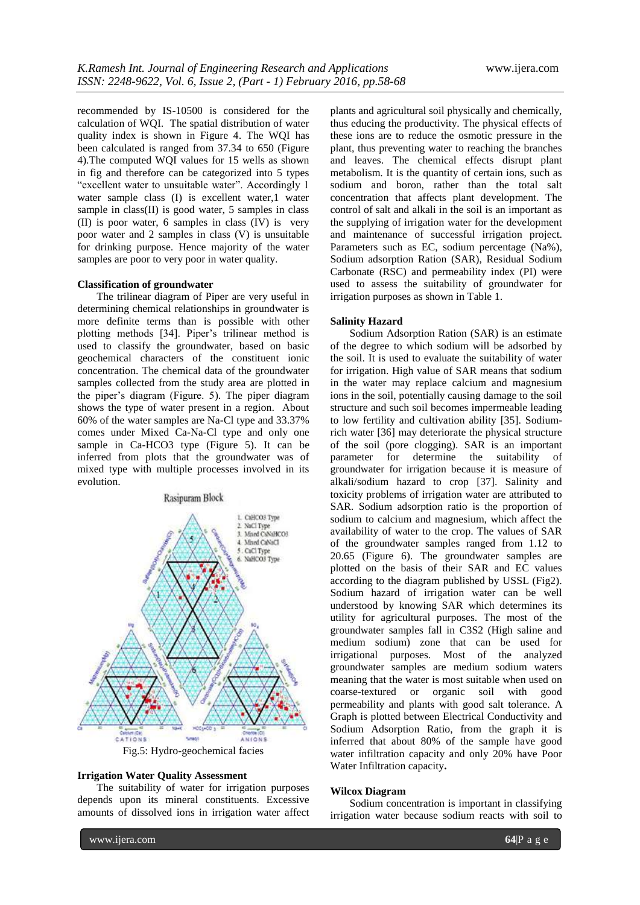recommended by IS-10500 is considered for the calculation of WQI. The spatial distribution of water quality index is shown in Figure 4. The WQI has been calculated is ranged from 37.34 to 650 (Figure 4).The computed WQI values for 15 wells as shown in fig and therefore can be categorized into 5 types "excellent water to unsuitable water". Accordingly 1 water sample class (I) is excellent water, 1 water sample in class(II) is good water, 5 samples in class (II) is poor water, 6 samples in class (IV) is very poor water and 2 samples in class (V) is unsuitable for drinking purpose. Hence majority of the water samples are poor to very poor in water quality.

### **Classification of groundwater**

The trilinear diagram of Piper are very useful in determining chemical relationships in groundwater is more definite terms than is possible with other plotting methods [34]. Piper's trilinear method is used to classify the groundwater, based on basic geochemical characters of the constituent ionic concentration. The chemical data of the groundwater samples collected from the study area are plotted in the piper's diagram (Figure. 5). The piper diagram shows the type of water present in a region. About 60% of the water samples are Na-Cl type and 33.37% comes under Mixed Ca-Na-Cl type and only one sample in Ca-HCO3 type (Figure 5). It can be inferred from plots that the groundwater was of mixed type with multiple processes involved in its evolution.





#### **Irrigation Water Quality Assessment**

The suitability of water for irrigation purposes depends upon its mineral constituents. Excessive amounts of dissolved ions in irrigation water affect

plants and agricultural soil physically and chemically, thus educing the productivity. The physical effects of these ions are to reduce the osmotic pressure in the plant, thus preventing water to reaching the branches and leaves. The chemical effects disrupt plant metabolism. It is the quantity of certain ions, such as sodium and boron, rather than the total salt concentration that affects plant development. The control of salt and alkali in the soil is an important as the supplying of irrigation water for the development and maintenance of successful irrigation project. Parameters such as EC, sodium percentage (Na%), Sodium adsorption Ration (SAR), Residual Sodium Carbonate (RSC) and permeability index (PI) were used to assess the suitability of groundwater for irrigation purposes as shown in Table 1.

#### **Salinity Hazard**

Sodium Adsorption Ration (SAR) is an estimate of the degree to which sodium will be adsorbed by the soil. It is used to evaluate the suitability of water for irrigation. High value of SAR means that sodium in the water may replace calcium and magnesium ions in the soil, potentially causing damage to the soil structure and such soil becomes impermeable leading to low fertility and cultivation ability [35]. Sodiumrich water [36] may deteriorate the physical structure of the soil (pore clogging). SAR is an important parameter for determine the suitability of groundwater for irrigation because it is measure of alkali/sodium hazard to crop [37]. Salinity and toxicity problems of irrigation water are attributed to SAR. Sodium adsorption ratio is the proportion of sodium to calcium and magnesium, which affect the availability of water to the crop. The values of SAR of the groundwater samples ranged from 1.12 to 20.65 (Figure 6). The groundwater samples are plotted on the basis of their SAR and EC values according to the diagram published by USSL (Fig2). Sodium hazard of irrigation water can be well understood by knowing SAR which determines its utility for agricultural purposes. The most of the groundwater samples fall in C3S2 (High saline and medium sodium) zone that can be used for irrigational purposes. Most of the analyzed groundwater samples are medium sodium waters meaning that the water is most suitable when used on coarse-textured or organic soil with good permeability and plants with good salt tolerance. A Graph is plotted between Electrical Conductivity and Sodium Adsorption Ratio, from the graph it is inferred that about 80% of the sample have good water infiltration capacity and only 20% have Poor Water Infiltration capacity**.**

#### **Wilcox Diagram**

Sodium concentration is important in classifying irrigation water because sodium reacts with soil to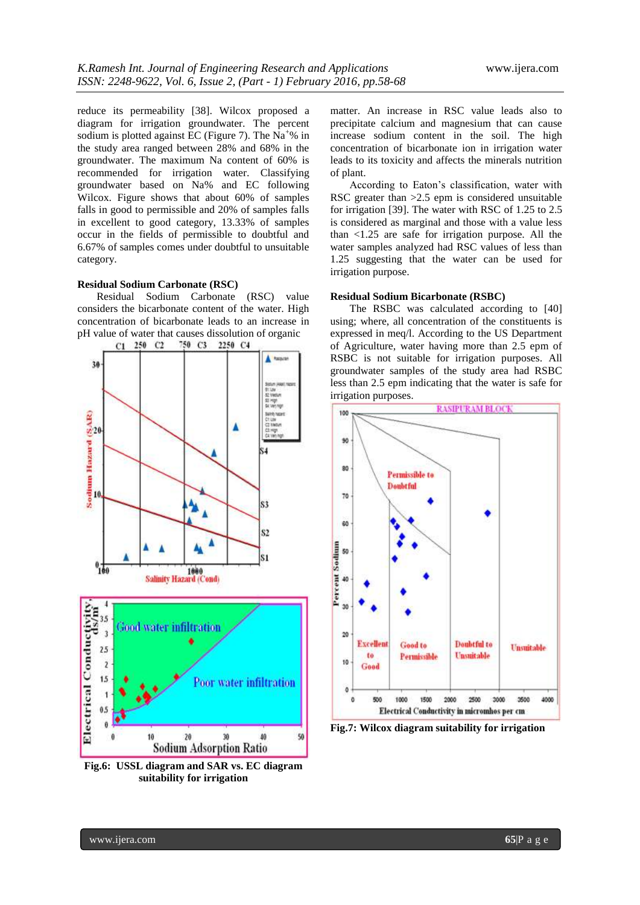reduce its permeability [38]. Wilcox proposed a diagram for irrigation groundwater. The percent sodium is plotted against EC (Figure 7). The  $Na<sup>+</sup>%$  in the study area ranged between 28% and 68% in the groundwater. The maximum Na content of 60% is recommended for irrigation water. Classifying groundwater based on Na% and EC following Wilcox. Figure shows that about 60% of samples falls in good to permissible and 20% of samples falls in excellent to good category, 13.33% of samples occur in the fields of permissible to doubtful and 6.67% of samples comes under doubtful to unsuitable category.

## **Residual Sodium Carbonate (RSC)**

Residual Sodium Carbonate (RSC) value considers the bicarbonate content of the water. High concentration of bicarbonate leads to an increase in pH value of water that causes dissolution of organic  $C_1$  250  $C_2$  750  $C_3$  2250  $C_4$ 



**Fig.6: USSL diagram and SAR vs. EC diagram suitability for irrigation**

matter. An increase in RSC value leads also to precipitate calcium and magnesium that can cause increase sodium content in the soil. The high concentration of bicarbonate ion in irrigation water leads to its toxicity and affects the minerals nutrition of plant.

According to Eaton's classification, water with RSC greater than >2.5 epm is considered unsuitable for irrigation [39]. The water with RSC of 1.25 to 2.5 is considered as marginal and those with a value less than <1.25 are safe for irrigation purpose. All the water samples analyzed had RSC values of less than 1.25 suggesting that the water can be used for irrigation purpose.

#### **Residual Sodium Bicarbonate (RSBC)**

The RSBC was calculated according to [40] using; where, all concentration of the constituents is expressed in meq/l. According to the US Department of Agriculture, water having more than 2.5 epm of RSBC is not suitable for irrigation purposes. All groundwater samples of the study area had RSBC less than 2.5 epm indicating that the water is safe for irrigation purposes.



**Fig.7: Wilcox diagram suitability for irrigation**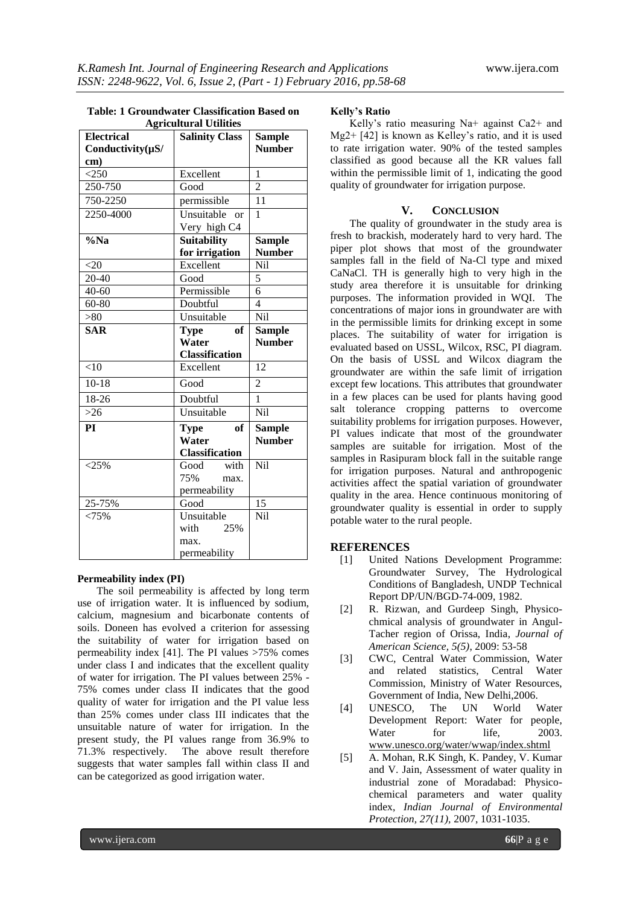|                        | <b>Table: 1 Groundwater Classification Based on</b> |  |  |  |
|------------------------|-----------------------------------------------------|--|--|--|
| A gricultural Hilities |                                                     |  |  |  |

| <b>Electrical</b><br>Conductivity $(\mu S$ / | Agricultural Utilities<br><b>Salinity Class</b> | <b>Sample</b><br><b>Number</b> |
|----------------------------------------------|-------------------------------------------------|--------------------------------|
| cm)                                          |                                                 |                                |
| $<$ 250                                      | Excellent                                       | 1                              |
| 250-750                                      | Good                                            | $\overline{2}$                 |
| 750-2250                                     | permissible                                     | 11                             |
| 2250-4000                                    | $\overline{U}$ nsuitable<br>or                  | $\mathbf{1}$                   |
|                                              | Very high C4                                    |                                |
| %Na                                          | <b>Suitability</b>                              | <b>Sample</b>                  |
|                                              | for irrigation                                  | <b>Number</b>                  |
| $<$ 20                                       | Excellent                                       | Nil                            |
| 20-40                                        | Good                                            | 5                              |
| $\overline{40}$ -60                          | Permissible                                     | 6                              |
| $60 - 80$                                    | Doubtful                                        | $\overline{\mathcal{A}}$       |
| > 80                                         | Unsuitable                                      | Nil                            |
| <b>SAR</b>                                   | of<br><b>Type</b>                               | <b>Sample</b>                  |
|                                              | Water                                           | <b>Number</b>                  |
|                                              | <b>Classification</b>                           |                                |
| < 10                                         | Excellent                                       | 12                             |
| $10-18$                                      | Good                                            | $\mathfrak{D}$                 |
| 18-26                                        | Doubtful                                        | 1                              |
| $>26$                                        | Unsuitable                                      | Nil                            |
| PI                                           | of<br>Type                                      | <b>Sample</b>                  |
|                                              | Water                                           | <b>Number</b>                  |
|                                              | <b>Classification</b>                           |                                |
| $<$ 25%                                      | with<br>Good                                    | Nil                            |
|                                              | 75%<br>max.                                     |                                |
|                                              | permeability                                    |                                |
| 25-75%                                       | Good                                            | 15                             |
| < 75%                                        | Unsuitable                                      | Nil                            |
|                                              | 25%<br>with                                     |                                |
|                                              | max.                                            |                                |
|                                              | permeability                                    |                                |

#### **Permeability index (PI)**

The soil permeability is affected by long term use of irrigation water. It is influenced by sodium, calcium, magnesium and bicarbonate contents of soils. Doneen has evolved a criterion for assessing the suitability of water for irrigation based on permeability index [41]. The PI values >75% comes under class I and indicates that the excellent quality of water for irrigation. The PI values between 25% - 75% comes under class II indicates that the good quality of water for irrigation and the PI value less than 25% comes under class III indicates that the unsuitable nature of water for irrigation. In the present study, the PI values range from 36.9% to 71.3% respectively. The above result therefore suggests that water samples fall within class II and can be categorized as good irrigation water.

## **Kelly's Ratio**

Kelly's ratio measuring Na+ against Ca2+ and Mg2+ [42] is known as Kelley's ratio, and it is used to rate irrigation water. 90% of the tested samples classified as good because all the KR values fall within the permissible limit of 1, indicating the good quality of groundwater for irrigation purpose.

# **V. CONCLUSION**

The quality of groundwater in the study area is fresh to brackish, moderately hard to very hard. The piper plot shows that most of the groundwater samples fall in the field of Na-Cl type and mixed CaNaCl. TH is generally high to very high in the study area therefore it is unsuitable for drinking purposes. The information provided in WQI. The concentrations of major ions in groundwater are with in the permissible limits for drinking except in some places. The suitability of water for irrigation is evaluated based on USSL, Wilcox, RSC, PI diagram. On the basis of USSL and Wilcox diagram the groundwater are within the safe limit of irrigation except few locations. This attributes that groundwater in a few places can be used for plants having good salt tolerance cropping patterns to overcome suitability problems for irrigation purposes. However, PI values indicate that most of the groundwater samples are suitable for irrigation. Most of the samples in Rasipuram block fall in the suitable range for irrigation purposes. Natural and anthropogenic activities affect the spatial variation of groundwater quality in the area. Hence continuous monitoring of groundwater quality is essential in order to supply potable water to the rural people.

# **REFERENCES**

- [1] United Nations Development Programme: Groundwater Survey, The Hydrological Conditions of Bangladesh, UNDP Technical Report DP/UN/BGD-74-009, 1982.
- [2] R. Rizwan, and Gurdeep Singh, Physicochmical analysis of groundwater in Angul-Tacher region of Orissa, India, *Journal of American Science, 5(5)*, 2009: 53-58
- [3] CWC, Central Water Commission, Water and related statistics, Central Water Commission, Ministry of Water Resources, Government of India, New Delhi,2006.
- [4] UNESCO, The UN World Water Development Report: Water for people, Water for life, 2003. [www.unesco.org/water/wwap/index.shtml](http://www.unesco.org/water/wwap/index.shtml)
- [5] A. Mohan, R.K Singh, K. Pandey, V. Kumar and V. Jain, Assessment of water quality in industrial zone of Moradabad: Physicochemical parameters and water quality index, *Indian Journal of Environmental Protection, 27(11),* 2007, 1031-1035.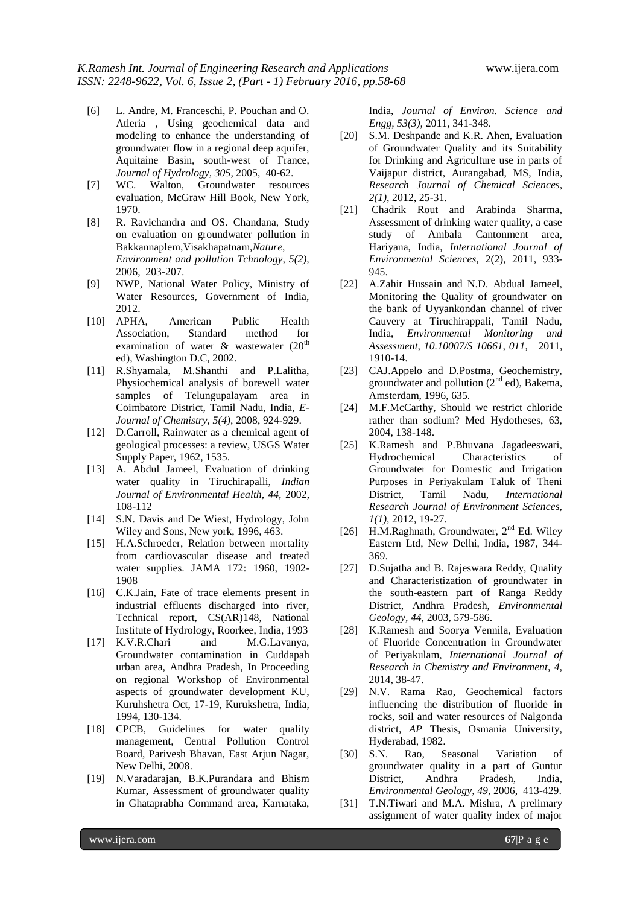- [6] L. Andre, M. Franceschi, P. Pouchan and O. Atleria , Using geochemical data and modeling to enhance the understanding of groundwater flow in a regional deep aquifer, Aquitaine Basin, south-west of France, *Journal of Hydrology, 305,* 2005, 40-62.
- [7] WC. Walton, Groundwater resources evaluation, McGraw Hill Book, New York, 1970.
- [8] R. Ravichandra and OS. Chandana, Study on evaluation on groundwater pollution in Bakkannaplem,Visakhapatnam,*Nature, Environment and pollution Tchnology, 5(2),* 2006, 203-207.
- [9] NWP, National Water Policy, Ministry of Water Resources, Government of India, 2012.
- [10] APHA, American Public Health Association, Standard method for examination of water  $\&$  wastewater (20<sup>th</sup>) ed), Washington D.C, 2002.
- [11] R.Shyamala, M.Shanthi and P.Lalitha, Physiochemical analysis of borewell water samples of Telungupalayam area in Coimbatore District, Tamil Nadu, India, *E-Journal of Chemistry, 5(4),* 2008, 924-929.
- [12] D.Carroll, Rainwater as a chemical agent of geological processes: a review, USGS Water Supply Paper, 1962, 1535.
- [13] A. Abdul Jameel, Evaluation of drinking water quality in Tiruchirapalli, *Indian Journal of Environmental Health, 44,* 2002, 108-112
- [14] S.N. Davis and De Wiest, Hydrology, John Wiley and Sons, New york, 1996, 463.
- [15] H.A.Schroeder, Relation between mortality from cardiovascular disease and treated water supplies. JAMA 172: 1960, 1902- 1908
- [16] C.K.Jain, Fate of trace elements present in industrial effluents discharged into river, Technical report, CS(AR)148, National Institute of Hydrology, Roorkee, India, 1993
- [17] K.V.R.Chari and M.G.Lavanya, Groundwater contamination in Cuddapah urban area, Andhra Pradesh, In Proceeding on regional Workshop of Environmental aspects of groundwater development KU, Kuruhshetra Oct, 17-19, Kurukshetra, India, 1994, 130-134.
- [18] CPCB, Guidelines for water quality management, Central Pollution Control Board, Parivesh Bhavan, East Arjun Nagar, New Delhi, 2008.
- [19] N.Varadarajan, B.K.Purandara and Bhism Kumar, Assessment of groundwater quality in Ghataprabha Command area, Karnataka,

India, *Journal of Environ. Science and Engg, 53(3),* 2011, 341-348.

- [20] S.M. Deshpande and K.R. Ahen, Evaluation of Groundwater Quality and its Suitability for Drinking and Agriculture use in parts of Vaijapur district, Aurangabad, MS, India, *Research Journal of Chemical Sciences, 2(1)*, 2012, 25-31.
- [21] Chadrik Rout and Arabinda Sharma, Assessment of drinking water quality, a case study of Ambala Cantonment area, Hariyana, India, *International Journal of Environmental Sciences,* 2(2), 2011, 933- 945.
- [22] A.Zahir Hussain and N.D. Abdual Jameel, Monitoring the Quality of groundwater on the bank of Uyyankondan channel of river Cauvery at Tiruchirappali, Tamil Nadu, India, *Environmental Monitoring and Assessment, 10.10007/S 10661, 011,* 2011, 1910-14.
- [23] CAJ.Appelo and D.Postma, Geochemistry, groundwater and pollution  $(2<sup>nd</sup>$  ed), Bakema, Amsterdam, 1996, 635.
- [24] M.F.McCarthy, Should we restrict chloride rather than sodium? Med Hydotheses, 63, 2004, 138-148.
- [25] K.Ramesh and P.Bhuvana Jagadeeswari, Hydrochemical Characteristics of Groundwater for Domestic and Irrigation Purposes in Periyakulam Taluk of Theni District, Tamil Nadu, *International Research Journal of Environment Sciences, 1(1),* 2012, 19-27.
- [26] H.M.Raghnath, Groundwater, 2<sup>nd</sup> Ed. Wiley Eastern Ltd, New Delhi, India, 1987, 344- 369.
- [27] D.Sujatha and B. Rajeswara Reddy, Quality and Characteristization of groundwater in the south-eastern part of Ranga Reddy District, Andhra Pradesh, *Environmental Geology, 44*, 2003, 579-586.
- [28] K.Ramesh and Soorya Vennila, Evaluation of Fluoride Concentration in Groundwater of Periyakulam, *International Journal of Research in Chemistry and Environment, 4,* 2014, 38-47.
- [29] N.V. Rama Rao, Geochemical factors influencing the distribution of fluoride in rocks, soil and water resources of Nalgonda district*, AP* Thesis, Osmania University, Hyderabad, 1982.
- [30] S.N. Rao, Seasonal Variation of groundwater quality in a part of Guntur District, Andhra Pradesh, India, *Environmental Geology, 49*, 2006, 413-429.
- [31] T.N.Tiwari and M.A. Mishra, A prelimary assignment of water quality index of major